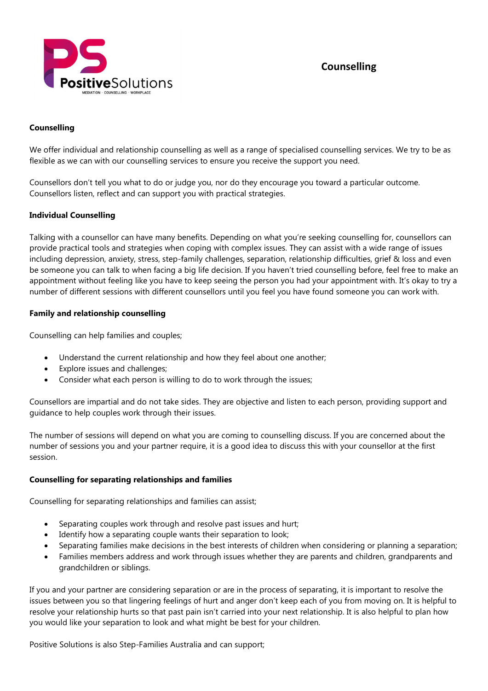

# Counselling

## Counselling

We offer individual and relationship counselling as well as a range of specialised counselling services. We try to be as flexible as we can with our counselling services to ensure you receive the support you need.

Counsellors don't tell you what to do or judge you, nor do they encourage you toward a particular outcome. Counsellors listen, reflect and can support you with practical strategies.

#### Individual Counselling

Talking with a counsellor can have many benefits. Depending on what you're seeking counselling for, counsellors can provide practical tools and strategies when coping with complex issues. They can assist with a wide range of issues including depression, anxiety, stress, step-family challenges, separation, relationship difficulties, grief & loss and even be someone you can talk to when facing a big life decision. If you haven't tried counselling before, feel free to make an appointment without feeling like you have to keep seeing the person you had your appointment with. It's okay to try a number of different sessions with different counsellors until you feel you have found someone you can work with.

#### Family and relationship counselling

Counselling can help families and couples;

- Understand the current relationship and how they feel about one another;
- Explore issues and challenges;
- Consider what each person is willing to do to work through the issues;

Counsellors are impartial and do not take sides. They are objective and listen to each person, providing support and guidance to help couples work through their issues.

The number of sessions will depend on what you are coming to counselling discuss. If you are concerned about the number of sessions you and your partner require, it is a good idea to discuss this with your counsellor at the first session.

#### Counselling for separating relationships and families

Counselling for separating relationships and families can assist;

- Separating couples work through and resolve past issues and hurt;
- Identify how a separating couple wants their separation to look;
- Separating families make decisions in the best interests of children when considering or planning a separation;
- Families members address and work through issues whether they are parents and children, grandparents and grandchildren or siblings.

If you and your partner are considering separation or are in the process of separating, it is important to resolve the issues between you so that lingering feelings of hurt and anger don't keep each of you from moving on. It is helpful to resolve your relationship hurts so that past pain isn't carried into your next relationship. It is also helpful to plan how you would like your separation to look and what might be best for your children.

Positive Solutions is also Step-Families Australia and can support;